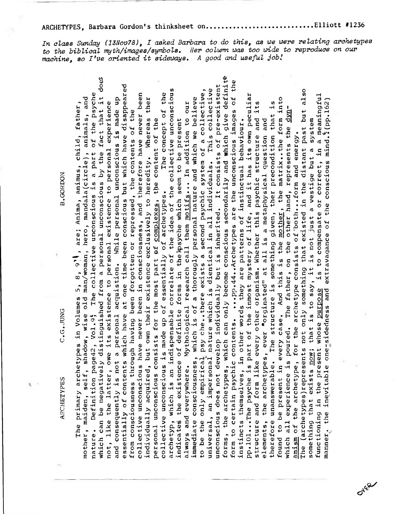.Elliott #1236 ARCHETYPES, Barbara Gordon's thinksheet on.........................

In class Sunday (13Nov78), I asked Barbara to do this, as we were relating archetypes to the biblical myth/images/symbols. Her column was too wide to reproduce on our machine, so I've oriented it sideways. A good and useful job!

forms, the archetypes, which can only become conscious secondarily and which give definite which can be negatively distinguished from a personal unconscious by the fact that it does to certain psychic contents. ... pp.44.. Archetypes are the unconscious images of the essentially of contents which have at one time been conscious but which have disappeared unconscious does not develop individually but is inherited. It consists of pre-existent archetyp, which is an indispensable correlate of the idea of the collective unconscious universal, an impersonal nature which is dientical in all individuals. This collective to be the only empirical psy che..there exists a second psychic system of a collective, The (archetypes)represents not only something that existed in the distant past but also The collective unconscious is a part of the psyche The concept of the collective unconscious have never been in consciousness, and therefore have never been functioning in the present whose purpose is to compensate or correct, in a meaningful<br>manner, the inevitable one-sidedness and extravagance of the conscious mind. (pp.162) pp.101...The psyche is part of the inmost mystery of life, and it has its own peculiar mother, maiden, self, shadow, wise old man/woman, hero, mandala(circle), animals, and Whereas ther While personal unconscious is made up immediate consciousness, which is of a thorougly personal nature and which we believe And this is the mother, the matrix. the form into therefore unanswerable. The structure is something given, ther precondition that is always and everywhere. Mythological research call them motifs... In addition to our structure and form like every other organism. Whether this psychic structure and its not, like the latter, owe its existence to personal existence to personal experience The primary archetypes in Volumes 5, 8, 9), are; Anima, animus, child, father, which all experience is poured. The father, on the other hand, represents the dynfrom consciousness through having been forgotten or repressed, the contents of the personal unconscious consists for the most part of complexes, the content of the indicates the existence of definite forms in the psyche which seem to be present elements, the archetypes, ever "orginated" at all is a metaphysical question and instincts themselves, in other words they are patterns of instinctual behaviour. something that exists now; that is to say, it is not just a vestige but a system amism of the archetype, for the archetype consists of both...form and energy. individually acquired, but own their existence exclusively to heredity. **B.GORDON** collective unconscious is made up of essentially of archetypes. and consequently is not a personal acquistion. C.G.JUNG Definition page42, Vol.9; found to be present in every case. ARCHETYPES nature. form

OVER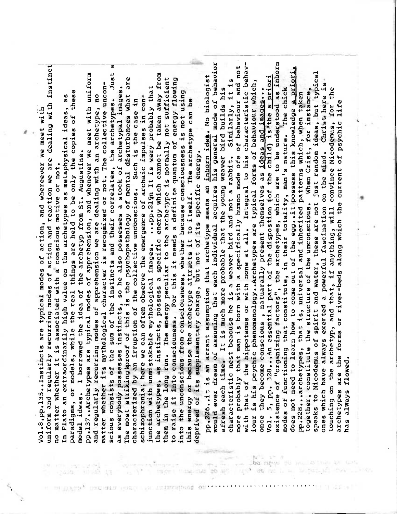$\overline{\mathfrak{a}}$ uniform and regularly recurring modes of action and reaction we are dealing with instinct scious consists of the sum of the instincts and their correlates, the archetypes. Just pp.137..Archetypes are typical modes of apprehension, and whenever we meet with uniform the archetypes, as instincts, possess a specific energy which cannot be taken away from The most striking proof of this is the psychopathology of mental disturbances what are them in the long run. The energy peculiar to the archetype is normally not sufficient to raise it into consciouness. For this it needs a definite quantum of energy flowing matter whether its mythological character is recogiized or not. The collective unconas everybody possesses instincts, so he also possesses a stock of archetypal images. junction with unmistakable mythological images. ... pp.219n It is very probably that into the unconscious from consciousness, whether because consciousness is not using paradigms, or models, while the real things are held to be only the copies of these and regularly recurring modes of apprehension we are dealing with an archetype, no In Plato an extraordinarily high value on the archetypes as metaphysical ideas, as schizophrenia; here we can often observe the emergence of archaic impulses in concharacterized by an irruption of the collective unconscious. Such is the case in this energy or because the archetype attracts it to itself. The archetype can be Vol.8, pp.135.. Instincts are typical modes of action, and whereever we meet with model ideas. I borrowed the idea of the archetyp from St. Augustine. deprived of its supplementary charge, but not of its specific energy. no matter whether it is associated with a conscious motive or not.

existence of "organizing factors", the archetypes, which are to be understood as inborn would ever dream of assuming that each individual acquires his general mode of behavior with that of the hippotamus or with none at all. Integral to his characteristic behavmore probably that man is born with a specifically humon mode ofe of behaviour and not does not need to learn how to come out of the egg..it possess this knowledge a priori. together, constitute the structure of the unconscious. When Crist, for instance,<br>speaks to Nicodemus of spirit and water, these are not just random ideas, but typical pp.226..it is an arrant assumption that archetype means an inborn idea. No biologist Vol. 5, pp. 328...An essential part of the dispostion (of the child) is the a priori characteristic nest beacuse he is a weaver bird and not a rabbit. Similarly, it is iour is his pcychic phenomenology..Archetypes are typical forms of behaviour which, Christ here is afresh each time. It is much more probable that the young weaver bird builds his The chick touching on the archetyp, and that, if anything, will convince Nicodemus, for the once they become conscious, natuarally present themselves as ideas and images... pp.228...archetypes, that is, universal and inherited patterns which, when taken archetypes are the forms or river-beds along which the current of psychic life modes of functioning that constitute, in their totality, man's nature. ones which have always exerted a powerful fascination on the mind. nas always flowed.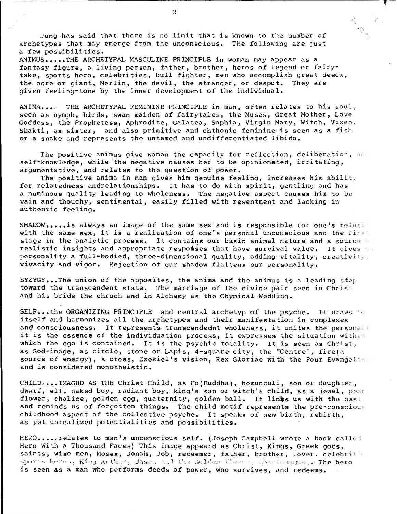Jung has said that there is no limit that is known to the number of archetypes that may emerge from the unconscious. The following are just a few possibilities.

ANIMUS.....THE ARCHETYPAL MASCULINE PRINCIPLE in woman may appear as a fantasy figure, a living person, father, brother, heros of legend or fairytake, sports hero, celebrities, bull fighter, men who accomplish great deeds, the ogre or giant, Merlin, the devil, the stranger, or despot. They are given feeling-tone by the inner development of the individual.

ANIMA.... THE ARCHETYPAL FEMININE PRINCIPLE in man, often relates to his soul, seen as nymph, birds, swan maiden of fairytales, the Muses, Great Mother, Love Goddess, the Prophetess, Aphrodite, Galatea, Sophia, Virgin Mary, Witch, Vixen, Shakti, as sister, and also primitive and chthonic feminine is seen as a fish or a snake and represents the untamed and undifferentiated libido.

The positive animus give woman the capacity for reflection, deliberation, and self-knowledge, while the negative causes her to be opinionated, irritating, argumentative, and relates to the question of power.

The positive anima in man gives him genuine feeling, increases his ability for relatedness andrelationships. It has to do with spirit, gentling and has a numinous quality leading to wholeness. The negative aspect causes him to be vain and thouchy, sentimental, easily filled with resentment and lacking in authentic feeling.

SHADOW..... is always an image of the same sex and is responsible for one's relation with the same sex, it is a realization of one's personal unconscious and the first stage in the analytic process. It contains our basic animal nature and a source realistic insights and appropriate respomises that have survival value. It gives  $\circ$ personality a full-bodied, three-dimensional quality, adding vitality, creativity. vivacity and vigor. Rejection of our shadow flattens our personality.

SYZYGY...The union of the opposites, the anima and the animus is a leading step toward the transcendent state. The marriage of the divine pair seen in Christ and his bride the chruch and in Alchemy as the Chymical Wedding.

SELF...the ORGANIZING PRINCIPLE and central archetyp of the psyche. It draws to itself and harmonizes all the archetypes and their manifestation in complexes and consciousness. It represents transcendednt wholeness, it unites the personall it is the essence of the individuation process, it expresses the situation within which the ego is contained. It is the psychic totality. It is seen as Christ, as God-image, as circle, stone or Lapis, 4-square city, the "Centre", fire(a source of energy), a cross, Ezekiel's vision, Rex Gloriae with the Four Evangelis and is considered monotheistic.

CHILD....IMAGED AS THE Christ Child, as Fo(Buddha), homunculi, son or daughter, dwarf, elf, naked boy, radiant boy, king's son or witch's child, as a jewel, pear flower, chalice, golden egg, quaternity, golden ball. It links us with the past and reminds us of forgotten things. The child motif represents the pre-conscious childhood aspect of the collective psyche. It speaks of new birth, rebirth, as yet unrealized potentialities and possibilities.

HERO.....relates to man's unconscious self. (Joseph Campbell wrote a book called Hero With a Thousand Faces) This image appeard as Christ, Kings, Greek gods, saints, wise men, Moses, Jonah, Job, redeemer, father, brother, lover, celebritie sports heros, King Arthur, Jason and the Golden flemen, Charlemanne,. The hero is seen **as** a man who performs deeds of power, who survives, and redeems.

3